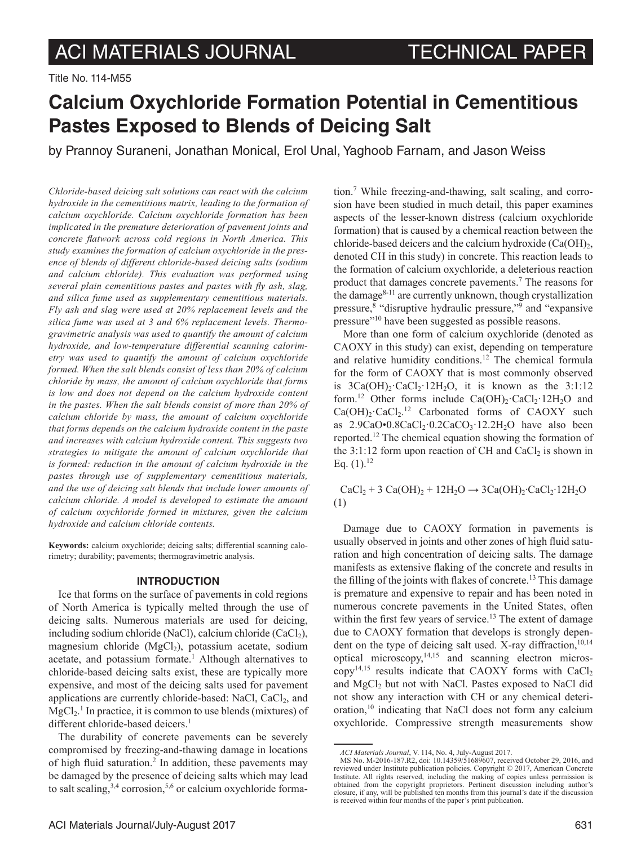Title No. 114-M55

# **Calcium Oxychloride Formation Potential in Cementitious Pastes Exposed to Blends of Deicing Salt**

by Prannoy Suraneni, Jonathan Monical, Erol Unal, Yaghoob Farnam, and Jason Weiss

*Chloride-based deicing salt solutions can react with the calcium hydroxide in the cementitious matrix, leading to the formation of calcium oxychloride. Calcium oxychloride formation has been implicated in the premature deterioration of pavement joints and concrete flatwork across cold regions in North America. This study examines the formation of calcium oxychloride in the presence of blends of different chloride-based deicing salts (sodium and calcium chloride). This evaluation was performed using several plain cementitious pastes and pastes with fly ash, slag, and silica fume used as supplementary cementitious materials. Fly ash and slag were used at 20% replacement levels and the silica fume was used at 3 and 6% replacement levels. Thermogravimetric analysis was used to quantify the amount of calcium hydroxide, and low-temperature differential scanning calorimetry was used to quantify the amount of calcium oxychloride formed. When the salt blends consist of less than 20% of calcium chloride by mass, the amount of calcium oxychloride that forms is low and does not depend on the calcium hydroxide content in the pastes. When the salt blends consist of more than 20% of calcium chloride by mass, the amount of calcium oxychloride that forms depends on the calcium hydroxide content in the paste and increases with calcium hydroxide content. This suggests two strategies to mitigate the amount of calcium oxychloride that is formed: reduction in the amount of calcium hydroxide in the pastes through use of supplementary cementitious materials, and the use of deicing salt blends that include lower amounts of calcium chloride. A model is developed to estimate the amount of calcium oxychloride formed in mixtures, given the calcium hydroxide and calcium chloride contents.*

**Keywords:** calcium oxychloride; deicing salts; differential scanning calorimetry; durability; pavements; thermogravimetric analysis.

# **INTRODUCTION**

Ice that forms on the surface of pavements in cold regions of North America is typically melted through the use of deicing salts. Numerous materials are used for deicing, including sodium chloride (NaCl), calcium chloride (CaCl<sub>2</sub>), magnesium chloride  $(MgCl<sub>2</sub>)$ , potassium acetate, sodium acetate, and potassium formate.<sup>1</sup> Although alternatives to chloride-based deicing salts exist, these are typically more expensive, and most of the deicing salts used for pavement applications are currently chloride-based: NaCl,  $CaCl<sub>2</sub>$ , and  $MgCl<sub>2</sub>$ .<sup>1</sup> In practice, it is common to use blends (mixtures) of different chloride-based deicers.<sup>1</sup>

The durability of concrete pavements can be severely compromised by freezing-and-thawing damage in locations of high fluid saturation.<sup>2</sup> In addition, these pavements may be damaged by the presence of deicing salts which may lead to salt scaling,  $3,4$  corrosion,  $5,6$  or calcium oxychloride forma-

tion.7 While freezing-and-thawing, salt scaling, and corrosion have been studied in much detail, this paper examines aspects of the lesser-known distress (calcium oxychloride formation) that is caused by a chemical reaction between the chloride-based deicers and the calcium hydroxide  $(Ca(OH)<sub>2</sub>)$ , denoted CH in this study) in concrete. This reaction leads to the formation of calcium oxychloride, a deleterious reaction product that damages concrete pavements.<sup>7</sup> The reasons for the damage $8-11$  are currently unknown, though crystallization pressure,<sup>8</sup> "disruptive hydraulic pressure,"<sup>9</sup> and "expansive pressure"10 have been suggested as possible reasons.

More than one form of calcium oxychloride (denoted as CAOXY in this study) can exist, depending on temperature and relative humidity conditions.12 The chemical formula for the form of CAOXY that is most commonly observed is  $3Ca(OH)$ ,  $CaCl$ ,  $12H$ ,  $O$ , it is known as the  $3:1:12$ form.<sup>12</sup> Other forms include Ca(OH)<sub>2</sub>·CaCl<sub>2</sub>·12H<sub>2</sub>O and  $Ca(OH)_2 \cdot CaCl_2$ .<sup>12</sup> Carbonated forms of CAOXY such as  $2.9CaO \cdot 0.8CaCl_2 \cdot 0.2CaCO_3 \cdot 12.2H_2O$  have also been reported.12 The chemical equation showing the formation of the  $3:1:12$  form upon reaction of CH and CaCl<sub>2</sub> is shown in Eq.  $(1).^{12}$ 

 $CaCl<sub>2</sub> + 3 Ca(OH)<sub>2</sub> + 12H<sub>2</sub>O \rightarrow 3Ca(OH)<sub>2</sub>·CaCl<sub>2</sub>·12H<sub>2</sub>O$ (1)

Damage due to CAOXY formation in pavements is usually observed in joints and other zones of high fluid saturation and high concentration of deicing salts. The damage manifests as extensive flaking of the concrete and results in the filling of the joints with flakes of concrete.<sup>13</sup> This damage is premature and expensive to repair and has been noted in numerous concrete pavements in the United States, often within the first few years of service.<sup>13</sup> The extent of damage due to CAOXY formation that develops is strongly dependent on the type of deicing salt used. X-ray diffraction, $10,14$ optical microscopy,14,15 and scanning electron microscopy<sup>14,15</sup> results indicate that CAOXY forms with  $CaCl<sub>2</sub>$ and MgCl<sub>2</sub> but not with NaCl. Pastes exposed to NaCl did not show any interaction with CH or any chemical deterioration,10 indicating that NaCl does not form any calcium oxychloride. Compressive strength measurements show

*ACI Materials Journal*, V. 114, No. 4, July-August 2017.

MS No. M-2016-187.R2, doi: 10.14359/51689607, received October 29, 2016, and reviewed under Institute publication policies. Copyright © 2017, American Concrete Institute. All rights reserved, including the making of copies unless permission is obtained from the copyright proprietors. Pertinent discussion including author's closure, if any, will be published ten months from this journal's date if the discussion is received within four months of the paper's print publication.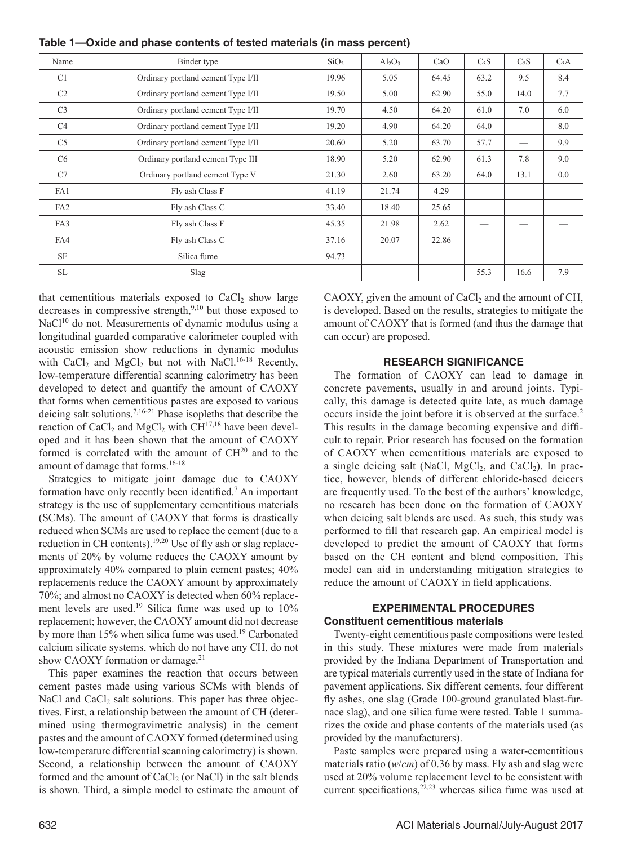| Name            | Binder type                        | SiO <sub>2</sub> | $Al_2O_3$ | CaO   | $C_3S$ | $C_2S$ | $C_3A$ |
|-----------------|------------------------------------|------------------|-----------|-------|--------|--------|--------|
| C <sub>1</sub>  | Ordinary portland cement Type I/II | 19.96            | 5.05      | 64.45 | 63.2   | 9.5    | 8.4    |
| C <sub>2</sub>  | Ordinary portland cement Type I/II | 19.50            | 5.00      | 62.90 | 55.0   | 14.0   | 7.7    |
| C <sub>3</sub>  | Ordinary portland cement Type I/II | 19.70            | 4.50      | 64.20 | 61.0   | 7.0    | 6.0    |
| C <sub>4</sub>  | Ordinary portland cement Type I/II | 19.20            | 4.90      | 64.20 | 64.0   |        | 8.0    |
| C <sub>5</sub>  | Ordinary portland cement Type I/II | 20.60            | 5.20      | 63.70 | 57.7   |        | 9.9    |
| C <sub>6</sub>  | Ordinary portland cement Type III  | 18.90            | 5.20      | 62.90 | 61.3   | 7.8    | 9.0    |
| C7              | Ordinary portland cement Type V    | 21.30            | 2.60      | 63.20 | 64.0   | 13.1   | 0.0    |
| FA1             | Fly ash Class F                    | 41.19            | 21.74     | 4.29  |        |        |        |
| FA <sub>2</sub> | Fly ash Class C                    | 33.40            | 18.40     | 25.65 |        |        |        |
| FA3             | Fly ash Class F                    | 45.35            | 21.98     | 2.62  |        |        |        |
| FA4             | Fly ash Class C                    | 37.16            | 20.07     | 22.86 |        |        |        |
| <b>SF</b>       | Silica fume                        | 94.73            |           |       |        |        |        |
| <b>SL</b>       | Slag                               |                  |           |       | 55.3   | 16.6   | 7.9    |

**Table 1—Oxide and phase contents of tested materials (in mass percent)**

that cementitious materials exposed to  $CaCl<sub>2</sub>$  show large decreases in compressive strength,<sup>9,10</sup> but those exposed to NaCl<sup>10</sup> do not. Measurements of dynamic modulus using a longitudinal guarded comparative calorimeter coupled with acoustic emission show reductions in dynamic modulus with  $CaCl<sub>2</sub>$  and  $MgCl<sub>2</sub>$  but not with NaCl.<sup>16-18</sup> Recently, low-temperature differential scanning calorimetry has been developed to detect and quantify the amount of CAOXY that forms when cementitious pastes are exposed to various deicing salt solutions.7,16-21 Phase isopleths that describe the reaction of  $CaCl<sub>2</sub>$  and  $MgCl<sub>2</sub>$  with  $CH<sup>17,18</sup>$  have been developed and it has been shown that the amount of CAOXY formed is correlated with the amount of  $CH<sup>20</sup>$  and to the amount of damage that forms.16-18

Strategies to mitigate joint damage due to CAOXY formation have only recently been identified.<sup>7</sup> An important strategy is the use of supplementary cementitious materials (SCMs). The amount of CAOXY that forms is drastically reduced when SCMs are used to replace the cement (due to a reduction in CH contents).<sup>19,20</sup> Use of fly ash or slag replacements of 20% by volume reduces the CAOXY amount by approximately 40% compared to plain cement pastes; 40% replacements reduce the CAOXY amount by approximately 70%; and almost no CAOXY is detected when 60% replacement levels are used.19 Silica fume was used up to 10% replacement; however, the CAOXY amount did not decrease by more than 15% when silica fume was used.<sup>19</sup> Carbonated calcium silicate systems, which do not have any CH, do not show CAOXY formation or damage.<sup>21</sup>

This paper examines the reaction that occurs between cement pastes made using various SCMs with blends of NaCl and  $CaCl<sub>2</sub>$  salt solutions. This paper has three objectives. First, a relationship between the amount of CH (determined using thermogravimetric analysis) in the cement pastes and the amount of CAOXY formed (determined using low-temperature differential scanning calorimetry) is shown. Second, a relationship between the amount of CAOXY formed and the amount of  $CaCl<sub>2</sub>$  (or NaCl) in the salt blends is shown. Third, a simple model to estimate the amount of CAOXY, given the amount of  $CaCl<sub>2</sub>$  and the amount of CH, is developed. Based on the results, strategies to mitigate the amount of CAOXY that is formed (and thus the damage that can occur) are proposed.

# **RESEARCH SIGNIFICANCE**

The formation of CAOXY can lead to damage in concrete pavements, usually in and around joints. Typically, this damage is detected quite late, as much damage occurs inside the joint before it is observed at the surface.2 This results in the damage becoming expensive and difficult to repair. Prior research has focused on the formation of CAOXY when cementitious materials are exposed to a single deicing salt (NaCl,  $MgCl<sub>2</sub>$ , and CaCl<sub>2</sub>). In practice, however, blends of different chloride-based deicers are frequently used. To the best of the authors' knowledge, no research has been done on the formation of CAOXY when deicing salt blends are used. As such, this study was performed to fill that research gap. An empirical model is developed to predict the amount of CAOXY that forms based on the CH content and blend composition. This model can aid in understanding mitigation strategies to reduce the amount of CAOXY in field applications.

# **EXPERIMENTAL PROCEDURES Constituent cementitious materials**

Twenty-eight cementitious paste compositions were tested in this study. These mixtures were made from materials provided by the Indiana Department of Transportation and are typical materials currently used in the state of Indiana for pavement applications. Six different cements, four different fly ashes, one slag (Grade 100-ground granulated blast-furnace slag), and one silica fume were tested. Table 1 summarizes the oxide and phase contents of the materials used (as provided by the manufacturers).

Paste samples were prepared using a water-cementitious materials ratio (*w*/*cm*) of 0.36 by mass. Fly ash and slag were used at 20% volume replacement level to be consistent with current specifications,  $2^{2,23}$  whereas silica fume was used at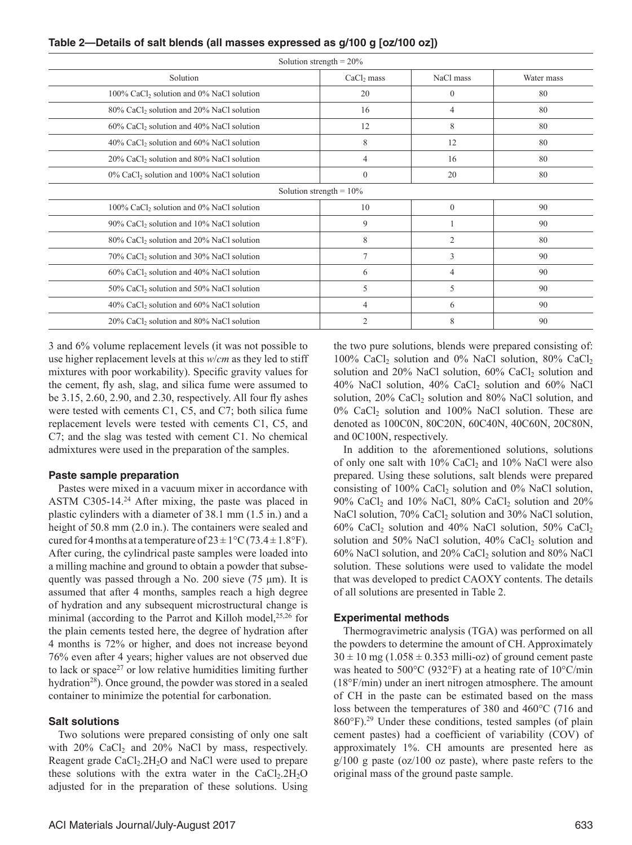| Table 2—Details of salt blends (all masses expressed as g/100 g [oz/100 oz]) |  |  |  |  |
|------------------------------------------------------------------------------|--|--|--|--|
|------------------------------------------------------------------------------|--|--|--|--|

| Solution strength = $20\%$                              |                |              |            |  |  |  |
|---------------------------------------------------------|----------------|--------------|------------|--|--|--|
| Solution                                                | $CaCl2$ mass   | NaCl mass    | Water mass |  |  |  |
| $100\%$ CaCl <sub>2</sub> solution and 0% NaCl solution | 20             | $\mathbf{0}$ | 80         |  |  |  |
| 80% CaCl <sub>2</sub> solution and 20% NaCl solution    | 16             | 4            | 80         |  |  |  |
| 60% CaCl <sub>2</sub> solution and 40% NaCl solution    | 12             | 8            | 80         |  |  |  |
| 40% CaCl <sub>2</sub> solution and 60% NaCl solution    | 8              | 12           | 80         |  |  |  |
| 20% CaCl <sub>2</sub> solution and 80% NaCl solution    | 4              | 16           | 80         |  |  |  |
| $0\%$ CaCl <sub>2</sub> solution and 100% NaCl solution | $\theta$       | 20           | 80         |  |  |  |
| Solution strength = $10\%$                              |                |              |            |  |  |  |
| 100% CaCl <sub>2</sub> solution and 0% NaCl solution    | 10             | $\Omega$     | 90         |  |  |  |
| 90% CaCl <sub>2</sub> solution and 10% NaCl solution    | 9              |              | 90         |  |  |  |
| 80% CaCl <sub>2</sub> solution and 20% NaCl solution    | 8              | 2            | 80         |  |  |  |
| 70% CaCl <sub>2</sub> solution and 30% NaCl solution    | 7              | 3            | 90         |  |  |  |
| 60% CaCl <sub>2</sub> solution and 40% NaCl solution    | 6              | 4            | 90         |  |  |  |
| 50% CaCl <sub>2</sub> solution and 50% NaCl solution    | 5              | 5            | 90         |  |  |  |
| 40% CaCl <sub>2</sub> solution and 60% NaCl solution    | 4              | 6            | 90         |  |  |  |
| 20% CaCl <sub>2</sub> solution and 80% NaCl solution    | $\overline{2}$ | 8            | 90         |  |  |  |

3 and 6% volume replacement levels (it was not possible to use higher replacement levels at this *w*/*cm* as they led to stiff mixtures with poor workability). Specific gravity values for the cement, fly ash, slag, and silica fume were assumed to be 3.15, 2.60, 2.90, and 2.30, respectively. All four fly ashes were tested with cements C1, C5, and C7; both silica fume replacement levels were tested with cements C1, C5, and C7; and the slag was tested with cement C1. No chemical admixtures were used in the preparation of the samples.

# **Paste sample preparation**

Pastes were mixed in a vacuum mixer in accordance with ASTM C305-14.<sup>24</sup> After mixing, the paste was placed in plastic cylinders with a diameter of 38.1 mm (1.5 in.) and a height of 50.8 mm  $(2.0 \text{ in.})$ . The containers were sealed and cured for 4 months at a temperature of  $23 \pm 1^{\circ}$ C (73.4  $\pm$  1.8°F). After curing, the cylindrical paste samples were loaded into a milling machine and ground to obtain a powder that subsequently was passed through a No. 200 sieve (75 μm). It is assumed that after 4 months, samples reach a high degree of hydration and any subsequent microstructural change is minimal (according to the Parrot and Killoh model, $25,26$  for the plain cements tested here, the degree of hydration after 4 months is 72% or higher, and does not increase beyond 76% even after 4 years; higher values are not observed due to lack or space<sup>27</sup> or low relative humidities limiting further hydration<sup>28</sup>). Once ground, the powder was stored in a sealed container to minimize the potential for carbonation.

# **Salt solutions**

Two solutions were prepared consisting of only one salt with  $20\%$  CaCl<sub>2</sub> and  $20\%$  NaCl by mass, respectively. Reagent grade  $CaCl<sub>2</sub>2H<sub>2</sub>O$  and NaCl were used to prepare these solutions with the extra water in the  $CaCl<sub>2</sub>.2H<sub>2</sub>O$ adjusted for in the preparation of these solutions. Using the two pure solutions, blends were prepared consisting of: 100% CaCl<sub>2</sub> solution and 0% NaCl solution, 80% CaCl<sub>2</sub> solution and 20% NaCl solution,  $60\%$  CaCl<sub>2</sub> solution and 40% NaCl solution, 40% CaCl<sub>2</sub> solution and 60% NaCl solution,  $20\%$  CaCl<sub>2</sub> solution and  $80\%$  NaCl solution, and  $0\%$  CaCl<sub>2</sub> solution and 100% NaCl solution. These are denoted as 100C0N, 80C20N, 60C40N, 40C60N, 20C80N, and 0C100N, respectively.

In addition to the aforementioned solutions, solutions of only one salt with  $10\%$  CaCl<sub>2</sub> and  $10\%$  NaCl were also prepared. Using these solutions, salt blends were prepared consisting of  $100\%$  CaCl<sub>2</sub> solution and  $0\%$  NaCl solution, 90% CaCl<sub>2</sub> and 10% NaCl, 80% CaCl<sub>2</sub> solution and 20% NaCl solution,  $70\%$  CaCl<sub>2</sub> solution and  $30\%$  NaCl solution, 60% CaCl<sub>2</sub> solution and 40% NaCl solution, 50% CaCl<sub>2</sub> solution and 50% NaCl solution,  $40\%$  CaCl<sub>2</sub> solution and  $60\%$  NaCl solution, and  $20\%$  CaCl<sub>2</sub> solution and  $80\%$  NaCl solution. These solutions were used to validate the model that was developed to predict CAOXY contents. The details of all solutions are presented in Table 2.

# **Experimental methods**

Thermogravimetric analysis (TGA) was performed on all the powders to determine the amount of CH. Approximately  $30 \pm 10$  mg (1.058  $\pm$  0.353 milli-oz) of ground cement paste was heated to 500°C (932°F) at a heating rate of 10°C/min (18°F/min) under an inert nitrogen atmosphere. The amount of CH in the paste can be estimated based on the mass loss between the temperatures of 380 and 460°C (716 and 860°F).29 Under these conditions, tested samples (of plain cement pastes) had a coefficient of variability (COV) of approximately 1%. CH amounts are presented here as  $g/100$  g paste (oz/100 oz paste), where paste refers to the original mass of the ground paste sample.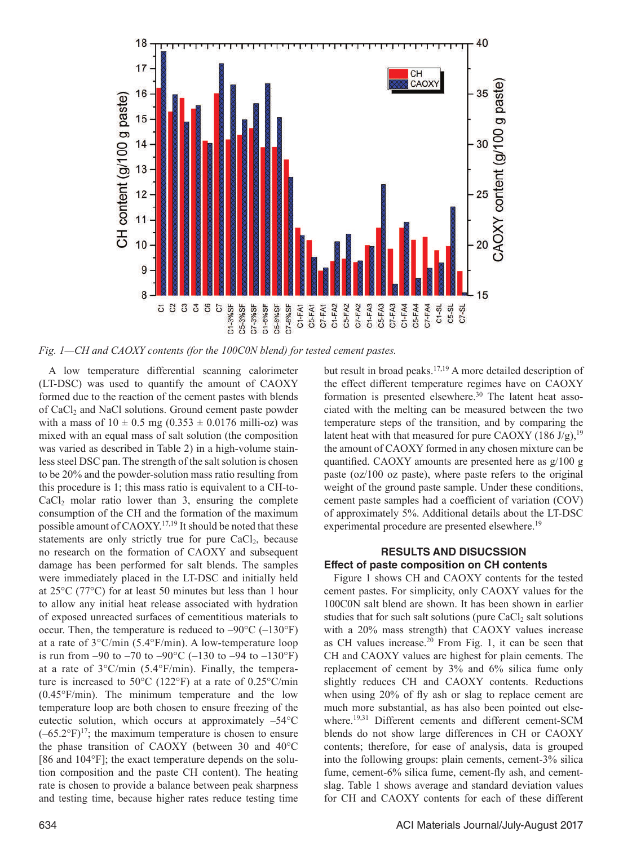

*Fig. 1—CH and CAOXY contents (for the 100C0N blend) for tested cement pastes.*

A low temperature differential scanning calorimeter (LT-DSC) was used to quantify the amount of CAOXY formed due to the reaction of the cement pastes with blends of CaCl<sub>2</sub> and NaCl solutions. Ground cement paste powder with a mass of  $10 \pm 0.5$  mg  $(0.353 \pm 0.0176$  milli-oz) was mixed with an equal mass of salt solution (the composition was varied as described in Table 2) in a high-volume stainless steel DSC pan. The strength of the salt solution is chosen to be 20% and the powder-solution mass ratio resulting from this procedure is 1; this mass ratio is equivalent to a CH-to- $CaCl<sub>2</sub>$  molar ratio lower than 3, ensuring the complete consumption of the CH and the formation of the maximum possible amount of CAOXY.17,19 It should be noted that these statements are only strictly true for pure  $CaCl<sub>2</sub>$ , because no research on the formation of CAOXY and subsequent damage has been performed for salt blends. The samples were immediately placed in the LT-DSC and initially held at 25°C (77°C) for at least 50 minutes but less than 1 hour to allow any initial heat release associated with hydration of exposed unreacted surfaces of cementitious materials to occur. Then, the temperature is reduced to  $-90^{\circ}$ C ( $-130^{\circ}$ F) at a rate of 3°C/min (5.4°F/min). A low-temperature loop is run from –90 to –70 to –90 $^{\circ}$ C (–130 to –94 to –130 $^{\circ}$ F) at a rate of 3°C/min (5.4°F/min). Finally, the temperature is increased to 50°C (122°F) at a rate of 0.25°C/min (0.45°F/min). The minimum temperature and the low temperature loop are both chosen to ensure freezing of the eutectic solution, which occurs at approximately  $-54^{\circ}$ C  $(-65.2^{\circ}F)^{17}$ ; the maximum temperature is chosen to ensure the phase transition of CAOXY (between 30 and 40°C [86 and 104°F]; the exact temperature depends on the solution composition and the paste CH content). The heating rate is chosen to provide a balance between peak sharpness and testing time, because higher rates reduce testing time but result in broad peaks.<sup>17,19</sup> A more detailed description of the effect different temperature regimes have on CAOXY formation is presented elsewhere.<sup>30</sup> The latent heat associated with the melting can be measured between the two temperature steps of the transition, and by comparing the latent heat with that measured for pure CAOXY (186 J/g), <sup>19</sup> the amount of CAOXY formed in any chosen mixture can be quantified. CAOXY amounts are presented here as g/100 g paste (oz/100 oz paste), where paste refers to the original weight of the ground paste sample. Under these conditions, cement paste samples had a coefficient of variation (COV) of approximately 5%. Additional details about the LT-DSC experimental procedure are presented elsewhere.<sup>19</sup>

# **RESULTS AND DISUCSSION Effect of paste composition on CH contents**

Figure 1 shows CH and CAOXY contents for the tested cement pastes. For simplicity, only CAOXY values for the 100C0N salt blend are shown. It has been shown in earlier studies that for such salt solutions (pure  $CaCl<sub>2</sub>$  salt solutions with a 20% mass strength) that CAOXY values increase as CH values increase. $20$  From Fig. 1, it can be seen that CH and CAOXY values are highest for plain cements. The replacement of cement by 3% and 6% silica fume only slightly reduces CH and CAOXY contents. Reductions when using 20% of fly ash or slag to replace cement are much more substantial, as has also been pointed out elsewhere.<sup>19,31</sup> Different cements and different cement-SCM blends do not show large differences in CH or CAOXY contents; therefore, for ease of analysis, data is grouped into the following groups: plain cements, cement-3% silica fume, cement-6% silica fume, cement-fly ash, and cementslag. Table 1 shows average and standard deviation values for CH and CAOXY contents for each of these different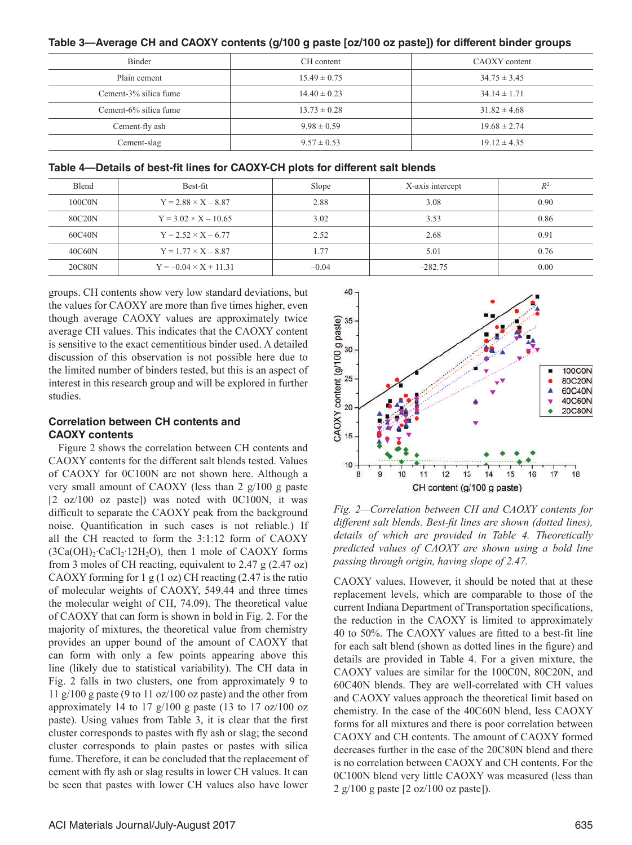| <b>Binder</b>         | CH content       | CAOXY content    |  |  |
|-----------------------|------------------|------------------|--|--|
| Plain cement          | $15.49 \pm 0.75$ | $34.75 \pm 3.45$ |  |  |
| Cement-3% silica fume | $14.40 \pm 0.23$ | $34.14 \pm 1.71$ |  |  |
| Cement-6% silica fume | $13.73 \pm 0.28$ | $31.82 \pm 4.68$ |  |  |
| Cement-fly ash        | $9.98 \pm 0.59$  | $19.68 \pm 2.74$ |  |  |
| Cement-slag           | $9.57 \pm 0.53$  | $19.12 \pm 4.35$ |  |  |

### **Table 4—Details of best-fit lines for CAOXY-CH plots for different salt blends**

| Blend  | Best-fit                     | Slope   | X-axis intercept | $R^2$ |
|--------|------------------------------|---------|------------------|-------|
| 100C0N | $Y = 2.88 \times X - 8.87$   | 2.88    | 3.08             | 0.90  |
| 80C20N | $Y = 3.02 \times X - 10.65$  | 3.02    | 3.53             | 0.86  |
| 60C40N | $Y = 2.52 \times X - 6.77$   | 2.52    | 2.68             | 0.91  |
| 40C60N | $Y = 1.77 \times X - 8.87$   | 1.77    | 5.01             | 0.76  |
| 20C80N | $Y = -0.04 \times X + 11.31$ | $-0.04$ | $-282.75$        | 0.00  |

groups. CH contents show very low standard deviations, but the values for CAOXY are more than five times higher, even though average CAOXY values are approximately twice average CH values. This indicates that the CAOXY content is sensitive to the exact cementitious binder used. A detailed discussion of this observation is not possible here due to the limited number of binders tested, but this is an aspect of interest in this research group and will be explored in further studies.

# **Correlation between CH contents and CAOXY contents**

Figure 2 shows the correlation between CH contents and CAOXY contents for the different salt blends tested. Values of CAOXY for 0C100N are not shown here. Although a very small amount of CAOXY (less than 2 g/100 g paste  $[2 \text{ oz}/100 \text{ oz} \text{ paste}]$  was noted with 0C100N, it was difficult to separate the CAOXY peak from the background noise. Quantification in such cases is not reliable.) If all the CH reacted to form the 3:1:12 form of CAOXY (3Ca(OH)<sub>2</sub>⋅CaCl<sub>2</sub>⋅12H<sub>2</sub>O), then 1 mole of CAOXY forms from 3 moles of CH reacting, equivalent to 2.47 g (2.47 oz) CAOXY forming for 1 g  $(1 \text{ oz})$  CH reacting  $(2.47 \text{ is the ratio})$ of molecular weights of CAOXY, 549.44 and three times the molecular weight of CH, 74.09). The theoretical value of CAOXY that can form is shown in bold in Fig. 2. For the majority of mixtures, the theoretical value from chemistry provides an upper bound of the amount of CAOXY that can form with only a few points appearing above this line (likely due to statistical variability). The CH data in Fig. 2 falls in two clusters, one from approximately 9 to 11  $g/100$  g paste (9 to 11 oz/100 oz paste) and the other from approximately 14 to 17  $g/100$  g paste (13 to 17 oz/100 oz paste). Using values from Table 3, it is clear that the first cluster corresponds to pastes with fly ash or slag; the second cluster corresponds to plain pastes or pastes with silica fume. Therefore, it can be concluded that the replacement of cement with fly ash or slag results in lower CH values. It can be seen that pastes with lower CH values also have lower



*Fig. 2—Correlation between CH and CAOXY contents for different salt blends. Best-fit lines are shown (dotted lines), details of which are provided in Table 4. Theoretically predicted values of CAOXY are shown using a bold line passing through origin, having slope of 2.47.*

CAOXY values. However, it should be noted that at these replacement levels, which are comparable to those of the current Indiana Department of Transportation specifications, the reduction in the CAOXY is limited to approximately 40 to 50%. The CAOXY values are fitted to a best-fit line for each salt blend (shown as dotted lines in the figure) and details are provided in Table 4. For a given mixture, the CAOXY values are similar for the 100C0N, 80C20N, and 60C40N blends. They are well-correlated with CH values and CAOXY values approach the theoretical limit based on chemistry. In the case of the 40C60N blend, less CAOXY forms for all mixtures and there is poor correlation between CAOXY and CH contents. The amount of CAOXY formed decreases further in the case of the 20C80N blend and there is no correlation between CAOXY and CH contents. For the 0C100N blend very little CAOXY was measured (less than 2 g/100 g paste [2 oz/100 oz paste]).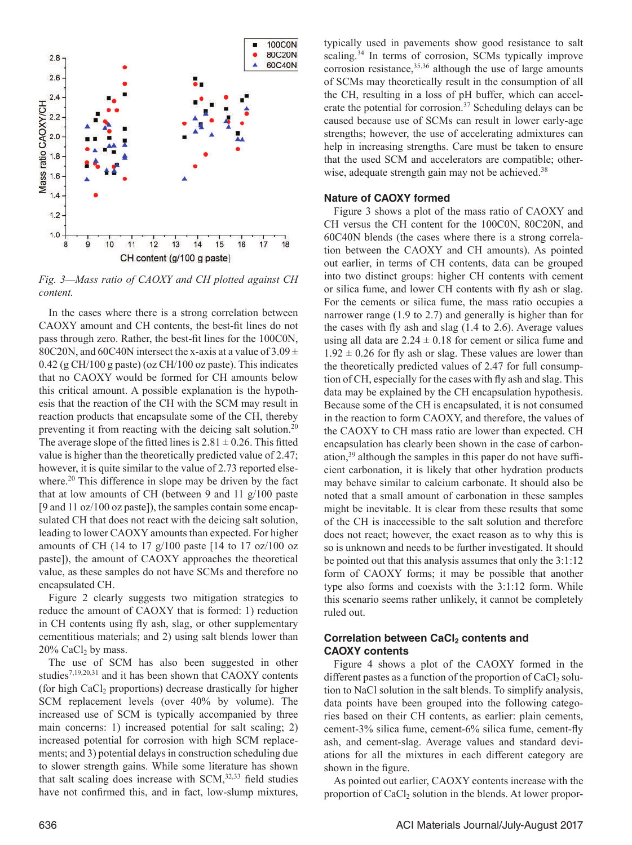

*Fig. 3—Mass ratio of CAOXY and CH plotted against CH content.*

In the cases where there is a strong correlation between CAOXY amount and CH contents, the best-fit lines do not pass through zero. Rather, the best-fit lines for the 100C0N, 80C20N, and 60C40N intersect the x-axis at a value of  $3.09 \pm$ 0.42 (g CH/100 g paste) (oz CH/100 oz paste). This indicates that no CAOXY would be formed for CH amounts below this critical amount. A possible explanation is the hypothesis that the reaction of the CH with the SCM may result in reaction products that encapsulate some of the CH, thereby preventing it from reacting with the deicing salt solution.20 The average slope of the fitted lines is  $2.81 \pm 0.26$ . This fitted value is higher than the theoretically predicted value of 2.47; however, it is quite similar to the value of 2.73 reported elsewhere.<sup>20</sup> This difference in slope may be driven by the fact that at low amounts of CH (between 9 and 11 g/100 paste [9 and 11 oz/100 oz paste]), the samples contain some encapsulated CH that does not react with the deicing salt solution, leading to lower CAOXY amounts than expected. For higher amounts of CH (14 to 17 g/100 paste  $[14$  to 17 oz/100 oz paste]), the amount of CAOXY approaches the theoretical value, as these samples do not have SCMs and therefore no encapsulated CH.

Figure 2 clearly suggests two mitigation strategies to reduce the amount of CAOXY that is formed: 1) reduction in CH contents using fly ash, slag, or other supplementary cementitious materials; and 2) using salt blends lower than  $20\%$  CaCl<sub>2</sub> by mass.

The use of SCM has also been suggested in other studies7,19,20,31 and it has been shown that CAOXY contents (for high  $CaCl<sub>2</sub>$  proportions) decrease drastically for higher SCM replacement levels (over 40% by volume). The increased use of SCM is typically accompanied by three main concerns: 1) increased potential for salt scaling; 2) increased potential for corrosion with high SCM replacements; and 3) potential delays in construction scheduling due to slower strength gains. While some literature has shown that salt scaling does increase with SCM, $32,33$  field studies have not confirmed this, and in fact, low-slump mixtures, typically used in pavements show good resistance to salt scaling.<sup>34</sup> In terms of corrosion, SCMs typically improve corrosion resistance,  $35,36$  although the use of large amounts of SCMs may theoretically result in the consumption of all the CH, resulting in a loss of pH buffer, which can accelerate the potential for corrosion.<sup>37</sup> Scheduling delays can be caused because use of SCMs can result in lower early-age strengths; however, the use of accelerating admixtures can help in increasing strengths. Care must be taken to ensure that the used SCM and accelerators are compatible; otherwise, adequate strength gain may not be achieved.<sup>38</sup>

#### **Nature of CAOXY formed**

Figure 3 shows a plot of the mass ratio of CAOXY and CH versus the CH content for the 100C0N, 80C20N, and 60C40N blends (the cases where there is a strong correlation between the CAOXY and CH amounts). As pointed out earlier, in terms of CH contents, data can be grouped into two distinct groups: higher CH contents with cement or silica fume, and lower CH contents with fly ash or slag. For the cements or silica fume, the mass ratio occupies a narrower range (1.9 to 2.7) and generally is higher than for the cases with fly ash and slag (1.4 to 2.6). Average values using all data are  $2.24 \pm 0.18$  for cement or silica fume and  $1.92 \pm 0.26$  for fly ash or slag. These values are lower than the theoretically predicted values of 2.47 for full consumption of CH, especially for the cases with fly ash and slag. This data may be explained by the CH encapsulation hypothesis. Because some of the CH is encapsulated, it is not consumed in the reaction to form CAOXY, and therefore, the values of the CAOXY to CH mass ratio are lower than expected. CH encapsulation has clearly been shown in the case of carbonation,39 although the samples in this paper do not have sufficient carbonation, it is likely that other hydration products may behave similar to calcium carbonate. It should also be noted that a small amount of carbonation in these samples might be inevitable. It is clear from these results that some of the CH is inaccessible to the salt solution and therefore does not react; however, the exact reason as to why this is so is unknown and needs to be further investigated. It should be pointed out that this analysis assumes that only the 3:1:12 form of CAOXY forms; it may be possible that another type also forms and coexists with the 3:1:12 form. While this scenario seems rather unlikely, it cannot be completely ruled out.

#### **Correlation between CaCl<sub>2</sub> contents and CAOXY contents**

Figure 4 shows a plot of the CAOXY formed in the different pastes as a function of the proportion of  $CaCl<sub>2</sub>$  solution to NaCl solution in the salt blends. To simplify analysis, data points have been grouped into the following categories based on their CH contents, as earlier: plain cements, cement-3% silica fume, cement-6% silica fume, cement-fly ash, and cement-slag. Average values and standard deviations for all the mixtures in each different category are shown in the figure.

As pointed out earlier, CAOXY contents increase with the proportion of CaCl<sub>2</sub> solution in the blends. At lower propor-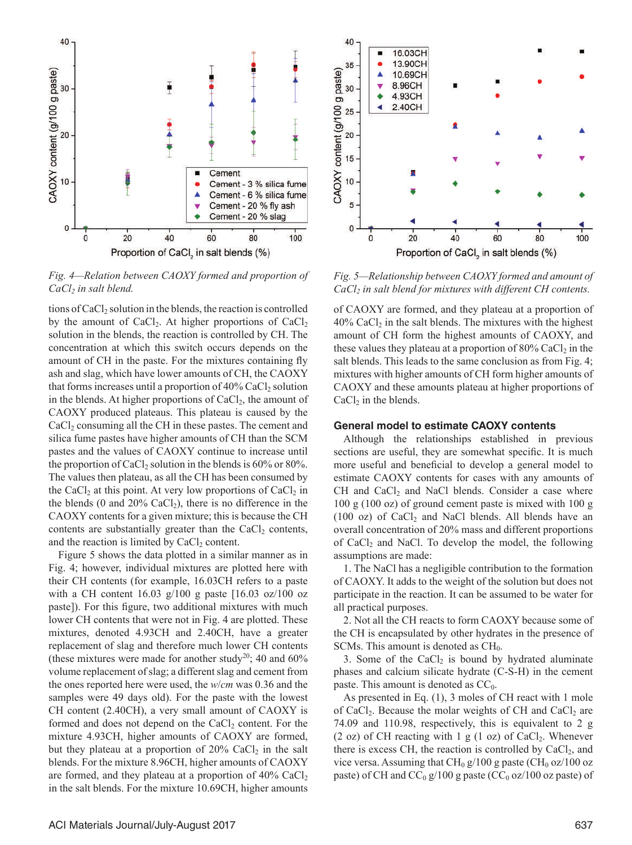

*Fig. 4—Relation between CAOXY formed and proportion of CaCl<sub>2</sub>* in salt blend.

tions of  $CaCl<sub>2</sub>$  solution in the blends, the reaction is controlled by the amount of  $CaCl<sub>2</sub>$ . At higher proportions of  $CaCl<sub>2</sub>$ solution in the blends, the reaction is controlled by CH. The concentration at which this switch occurs depends on the amount of CH in the paste. For the mixtures containing fly ash and slag, which have lower amounts of CH, the CAOXY that forms increases until a proportion of  $40\%$  CaCl<sub>2</sub> solution in the blends. At higher proportions of  $CaCl<sub>2</sub>$ , the amount of CAOXY produced plateaus. This plateau is caused by the CaCl<sub>2</sub> consuming all the CH in these pastes. The cement and silica fume pastes have higher amounts of CH than the SCM pastes and the values of CAOXY continue to increase until the proportion of CaCl<sub>2</sub> solution in the blends is  $60\%$  or  $80\%$ . The values then plateau, as all the CH has been consumed by the CaCl<sub>2</sub> at this point. At very low proportions of CaCl<sub>2</sub> in the blends (0 and  $20\%$  CaCl<sub>2</sub>), there is no difference in the CAOXY contents for a given mixture; this is because the CH contents are substantially greater than the  $CaCl<sub>2</sub>$  contents, and the reaction is limited by  $CaCl<sub>2</sub>$  content.

Figure 5 shows the data plotted in a similar manner as in Fig. 4; however, individual mixtures are plotted here with their CH contents (for example, 16.03CH refers to a paste with a CH content  $16.03 \text{ g}/100 \text{ g}$  paste  $[16.03 \text{ oz}/100 \text{ oz}]$ paste]). For this figure, two additional mixtures with much lower CH contents that were not in Fig. 4 are plotted. These mixtures, denoted 4.93CH and 2.40CH, have a greater replacement of slag and therefore much lower CH contents (these mixtures were made for another study<sup>20</sup>; 40 and  $60\%$ volume replacement of slag; a different slag and cement from the ones reported here were used, the *w*/*cm* was 0.36 and the samples were 49 days old). For the paste with the lowest CH content (2.40CH), a very small amount of CAOXY is formed and does not depend on the CaCl<sub>2</sub> content. For the mixture 4.93CH, higher amounts of CAOXY are formed, but they plateau at a proportion of  $20\%$  CaCl<sub>2</sub> in the salt blends. For the mixture 8.96CH, higher amounts of CAOXY are formed, and they plateau at a proportion of  $40\%$  CaCl<sub>2</sub> in the salt blends. For the mixture 10.69CH, higher amounts



*Fig. 5—Relationship between CAOXY formed and amount of CaCl2 in salt blend for mixtures with different CH contents.*

of CAOXY are formed, and they plateau at a proportion of  $40\%$  CaCl<sub>2</sub> in the salt blends. The mixtures with the highest amount of CH form the highest amounts of CAOXY, and these values they plateau at a proportion of  $80\%$  CaCl<sub>2</sub> in the salt blends. This leads to the same conclusion as from Fig. 4; mixtures with higher amounts of CH form higher amounts of CAOXY and these amounts plateau at higher proportions of  $CaCl<sub>2</sub>$  in the blends.

#### **General model to estimate CAOXY contents**

Although the relationships established in previous sections are useful, they are somewhat specific. It is much more useful and beneficial to develop a general model to estimate CAOXY contents for cases with any amounts of  $CH$  and  $CaCl<sub>2</sub>$  and NaCl blends. Consider a case where 100 g (100 oz) of ground cement paste is mixed with 100 g  $(100 \text{ oz})$  of CaCl<sub>2</sub> and NaCl blends. All blends have an overall concentration of 20% mass and different proportions of  $CaCl<sub>2</sub>$  and NaCl. To develop the model, the following assumptions are made:

1. The NaCl has a negligible contribution to the formation of CAOXY. It adds to the weight of the solution but does not participate in the reaction. It can be assumed to be water for all practical purposes.

2. Not all the CH reacts to form CAOXY because some of the CH is encapsulated by other hydrates in the presence of SCMs. This amount is denoted as  $CH<sub>0</sub>$ .

3. Some of the  $CaCl<sub>2</sub>$  is bound by hydrated aluminate phases and calcium silicate hydrate (C-S-H) in the cement paste. This amount is denoted as  $CC_0$ .

As presented in Eq. (1), 3 moles of CH react with 1 mole of CaCl<sub>2</sub>. Because the molar weights of CH and CaCl<sub>2</sub> are 74.09 and 110.98, respectively, this is equivalent to 2 g (2 oz) of CH reacting with 1 g (1 oz) of CaCl<sub>2</sub>. Whenever there is excess CH, the reaction is controlled by  $CaCl<sub>2</sub>$ , and vice versa. Assuming that  $CH_0 g/100 g$  paste (CH<sub>0</sub> oz/100 oz paste) of CH and  $CC_0$  g/100 g paste (CC<sub>0</sub> oz/100 oz paste) of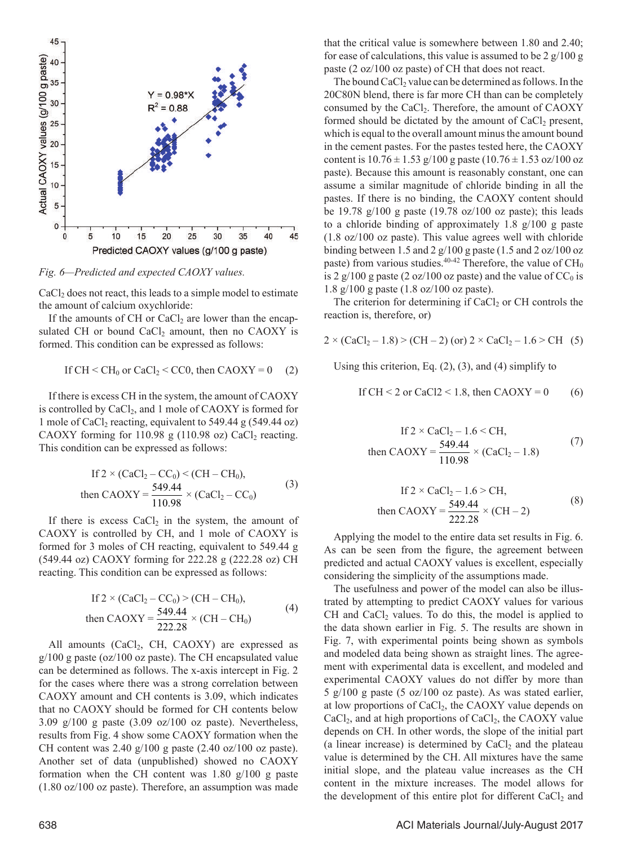

*Fig. 6—Predicted and expected CAOXY values.*

CaCl<sub>2</sub> does not react, this leads to a simple model to estimate the amount of calcium oxychloride:

If the amounts of CH or  $CaCl<sub>2</sub>$  are lower than the encapsulated CH or bound  $CaCl<sub>2</sub>$  amount, then no CAOXY is formed. This condition can be expressed as follows:

If 
$$
CH < CH_0
$$
 or  $CaCl_2 < CC0$ , then  $CAOXY = 0$  (2)

If there is excess CH in the system, the amount of CAOXY is controlled by CaCl<sub>2</sub>, and 1 mole of CAOXY is formed for 1 mole of CaCl<sub>2</sub> reacting, equivalent to 549.44 g (549.44 oz) CAOXY forming for 110.98 g (110.98 oz) CaCl<sub>2</sub> reacting. This condition can be expressed as follows:

If 
$$
2 \times (CaCl_2 - CC_0) \lt (CH - CH_0)
$$
,  
then  $CAOXY = \frac{549.44}{110.98} \times (CaCl_2 - CC_0)$  (3)

If there is excess  $CaCl<sub>2</sub>$  in the system, the amount of CAOXY is controlled by CH, and 1 mole of CAOXY is formed for 3 moles of CH reacting, equivalent to 549.44 g (549.44 oz) CAOXY forming for 222.28 g (222.28 oz) CH reacting. This condition can be expressed as follows:

If 
$$
2 \times (CaCl_2 - CC_0) > (CH - CH_0)
$$
,  
then  $CAOXY = \frac{549.44}{222.28} \times (CH - CH_0)$  (4)

All amounts  $(CaCl<sub>2</sub>, CH, CAOXY)$  are expressed as g/100 g paste (oz/100 oz paste). The CH encapsulated value can be determined as follows. The x-axis intercept in Fig. 2 for the cases where there was a strong correlation between CAOXY amount and CH contents is 3.09, which indicates that no CAOXY should be formed for CH contents below  $3.09 \text{ g}/100 \text{ g}$  paste  $(3.09 \text{ oz}/100 \text{ oz} \text{ paste})$ . Nevertheless, results from Fig. 4 show some CAOXY formation when the CH content was  $2.40 \frac{g}{100}$  g paste  $(2.40 \frac{oz}{100}$  oz paste). Another set of data (unpublished) showed no CAOXY formation when the CH content was 1.80 g/100 g paste (1.80 oz/100 oz paste). Therefore, an assumption was made that the critical value is somewhere between 1.80 and 2.40; for ease of calculations, this value is assumed to be 2  $g/100 g$ paste (2 oz/100 oz paste) of CH that does not react.

The bound  $CaCl<sub>2</sub>$  value can be determined as follows. In the 20C80N blend, there is far more CH than can be completely consumed by the CaCl<sub>2</sub>. Therefore, the amount of CAOXY formed should be dictated by the amount of CaCl<sub>2</sub> present, which is equal to the overall amount minus the amount bound in the cement pastes. For the pastes tested here, the CAOXY content is  $10.76 \pm 1.53$  g/100 g paste (10.76  $\pm$  1.53 oz/100 oz paste). Because this amount is reasonably constant, one can assume a similar magnitude of chloride binding in all the pastes. If there is no binding, the CAOXY content should be 19.78 g/100 g paste (19.78 oz/100 oz paste); this leads to a chloride binding of approximately 1.8 g/100 g paste (1.8 oz/100 oz paste). This value agrees well with chloride binding between 1.5 and 2 g/100 g paste (1.5 and 2 oz/100 oz paste) from various studies.<sup>40-42</sup> Therefore, the value of  $CH_0$ is 2 g/100 g paste (2 oz/100 oz paste) and the value of  $CC_0$  is 1.8 g/100 g paste (1.8 oz/100 oz paste).

The criterion for determining if  $CaCl<sub>2</sub>$  or CH controls the reaction is, therefore, or)

$$
2 \times (CaCl_2 - 1.8) \ge (CH - 2) \text{ (or) } 2 \times CaCl_2 - 1.6 \ge CH \quad (5)
$$

Using this criterion, Eq.  $(2)$ ,  $(3)$ , and  $(4)$  simplify to

If 
$$
CH < 2
$$
 or  $CaCl2 < 1.8$ , then  $CAOXY = 0$  (6)

If 
$$
2 \times \text{CaCl}_2 - 1.6 \leq \text{CH}
$$
,  
then  $\text{CAOXY} = \frac{549.44}{110.98} \times (\text{CaCl}_2 - 1.8)$  (7)

If 
$$
2 \times \text{CaCl}_2 - 1.6 > \text{CH}
$$
,  
then  $\text{CAOXY} = \frac{549.44}{222.28} \times (\text{CH} - 2)$  (8)

Applying the model to the entire data set results in Fig. 6. As can be seen from the figure, the agreement between predicted and actual CAOXY values is excellent, especially considering the simplicity of the assumptions made.

The usefulness and power of the model can also be illustrated by attempting to predict CAOXY values for various CH and  $CaCl<sub>2</sub>$  values. To do this, the model is applied to the data shown earlier in Fig. 5. The results are shown in Fig. 7, with experimental points being shown as symbols and modeled data being shown as straight lines. The agreement with experimental data is excellent, and modeled and experimental CAOXY values do not differ by more than 5 g/100 g paste (5 oz/100 oz paste). As was stated earlier, at low proportions of  $CaCl<sub>2</sub>$ , the CAOXY value depends on  $CaCl<sub>2</sub>$ , and at high proportions of  $CaCl<sub>2</sub>$ , the CAOXY value depends on CH. In other words, the slope of the initial part (a linear increase) is determined by  $CaCl<sub>2</sub>$  and the plateau value is determined by the CH. All mixtures have the same initial slope, and the plateau value increases as the CH content in the mixture increases. The model allows for the development of this entire plot for different CaCl<sub>2</sub> and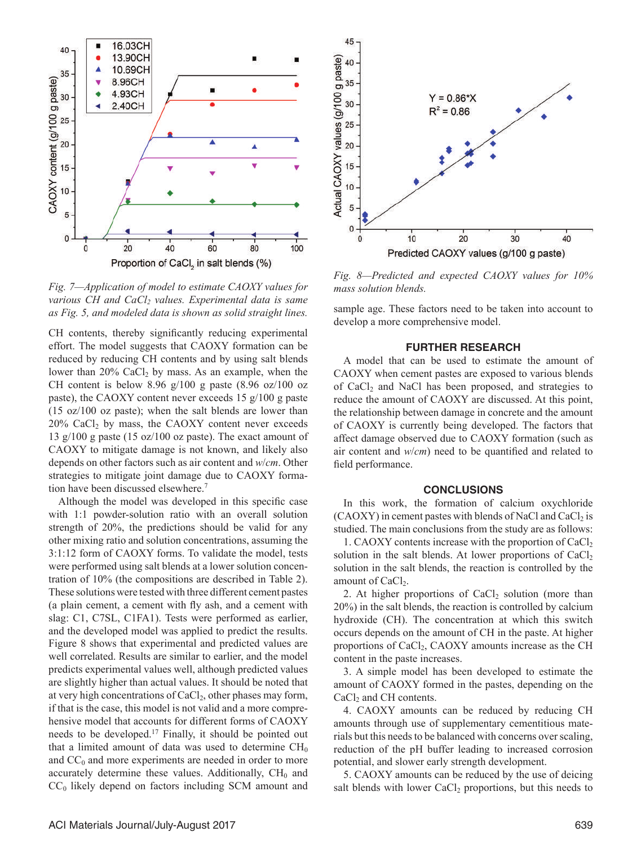

*Fig. 7—Application of model to estimate CAOXY values for*  various CH and CaCl<sub>2</sub> values. Experimental data is same *as Fig. 5, and modeled data is shown as solid straight lines.*

CH contents, thereby significantly reducing experimental effort. The model suggests that CAOXY formation can be reduced by reducing CH contents and by using salt blends lower than  $20\%$  CaCl<sub>2</sub> by mass. As an example, when the CH content is below 8.96  $g/100$  g paste (8.96 oz/100 oz paste), the CAOXY content never exceeds 15 g/100 g paste (15 oz/100 oz paste); when the salt blends are lower than  $20\%$  CaCl<sub>2</sub> by mass, the CAOXY content never exceeds 13 g/100 g paste (15 oz/100 oz paste). The exact amount of CAOXY to mitigate damage is not known, and likely also depends on other factors such as air content and *w*/*cm*. Other strategies to mitigate joint damage due to CAOXY formation have been discussed elsewhere.7

Although the model was developed in this specific case with 1:1 powder-solution ratio with an overall solution strength of 20%, the predictions should be valid for any other mixing ratio and solution concentrations, assuming the 3:1:12 form of CAOXY forms. To validate the model, tests were performed using salt blends at a lower solution concentration of 10% (the compositions are described in Table 2). These solutions were tested with three different cement pastes (a plain cement, a cement with fly ash, and a cement with slag: C1, C7SL, C1FA1). Tests were performed as earlier, and the developed model was applied to predict the results. Figure 8 shows that experimental and predicted values are well correlated. Results are similar to earlier, and the model predicts experimental values well, although predicted values are slightly higher than actual values. It should be noted that at very high concentrations of  $CaCl<sub>2</sub>$ , other phases may form, if that is the case, this model is not valid and a more comprehensive model that accounts for different forms of CAOXY needs to be developed.17 Finally, it should be pointed out that a limited amount of data was used to determine  $CH<sub>0</sub>$ and  $CC_0$  and more experiments are needed in order to more accurately determine these values. Additionally,  $CH<sub>0</sub>$  and  $CC<sub>0</sub>$  likely depend on factors including SCM amount and



*Fig. 8—Predicted and expected CAOXY values for 10% mass solution blends.*

sample age. These factors need to be taken into account to develop a more comprehensive model.

#### **FURTHER RESEARCH**

A model that can be used to estimate the amount of CAOXY when cement pastes are exposed to various blends of  $CaCl<sub>2</sub>$  and NaCl has been proposed, and strategies to reduce the amount of CAOXY are discussed. At this point, the relationship between damage in concrete and the amount of CAOXY is currently being developed. The factors that affect damage observed due to CAOXY formation (such as air content and *w*/*cm*) need to be quantified and related to field performance.

#### **CONCLUSIONS**

In this work, the formation of calcium oxychloride  $(CA OXY)$  in cement pastes with blends of NaCl and CaCl<sub>2</sub> is studied. The main conclusions from the study are as follows:

1. CAOXY contents increase with the proportion of  $CaCl<sub>2</sub>$ solution in the salt blends. At lower proportions of  $CaCl<sub>2</sub>$ solution in the salt blends, the reaction is controlled by the amount of CaCl<sub>2</sub>.

2. At higher proportions of  $CaCl<sub>2</sub>$  solution (more than 20%) in the salt blends, the reaction is controlled by calcium hydroxide (CH). The concentration at which this switch occurs depends on the amount of CH in the paste. At higher proportions of  $CaCl<sub>2</sub>$ ,  $CAOXY$  amounts increase as the CH content in the paste increases.

3. A simple model has been developed to estimate the amount of CAOXY formed in the pastes, depending on the CaCl<sub>2</sub> and CH contents.

4. CAOXY amounts can be reduced by reducing CH amounts through use of supplementary cementitious materials but this needs to be balanced with concerns over scaling, reduction of the pH buffer leading to increased corrosion potential, and slower early strength development.

5. CAOXY amounts can be reduced by the use of deicing salt blends with lower  $CaCl<sub>2</sub>$  proportions, but this needs to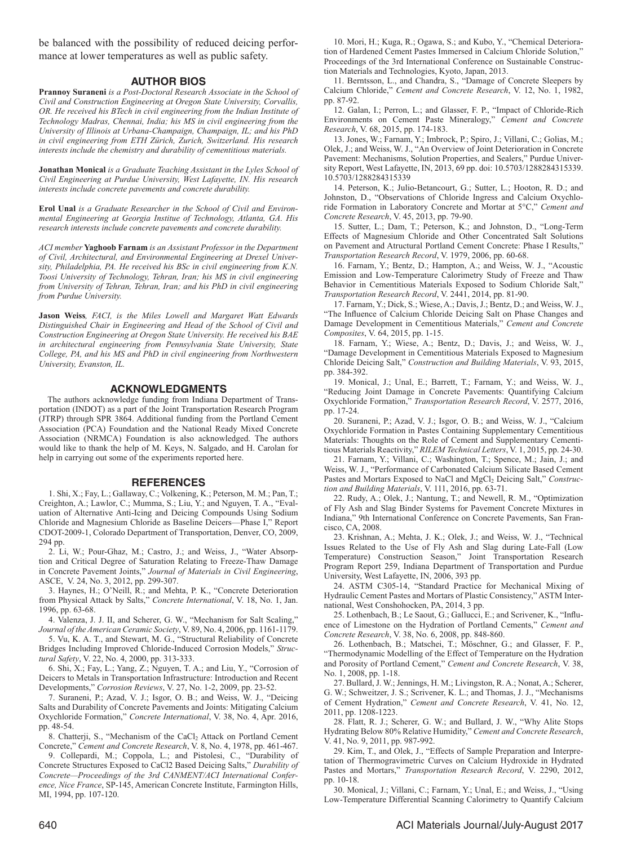be balanced with the possibility of reduced deicing performance at lower temperatures as well as public safety.

#### **AUTHOR BIOS**

**Prannoy Suraneni** *is a Post-Doctoral Research Associate in the School of Civil and Construction Engineering at Oregon State University, Corvallis, OR. He received his BTech in civil engineering from the Indian Institute of Technology Madras, Chennai, India; his MS in civil engineering from the University of Illinois at Urbana-Champaign, Champaign, IL; and his PhD in civil engineering from ETH Zürich, Zurich, Switzerland. His research interests include the chemistry and durability of cementitious materials.*

**Jonathan Monical** *is a Graduate Teaching Assistant in the Lyles School of Civil Engineering at Purdue University, West Lafayette, IN. His research interests include concrete pavements and concrete durability.*

**Erol Unal** *is a Graduate Researcher in the School of Civil and Environmental Engineering at Georgia Institue of Technology, Atlanta, GA. His research interests include concrete pavements and concrete durability.*

*ACI member* **Yaghoob Farnam** *is an Assistant Professor in the Department of Civil, Architectural, and Environmental Engineering at Drexel University, Philadelphia, PA. He received his BSc in civil engineering from K.N. Toosi University of Technology, Tehran, Iran; his MS in civil engineering from University of Tehran, Tehran, Iran; and his PhD in civil engineering from Purdue University.*

**Jason Weiss***, FACI, is the Miles Lowell and Margaret Watt Edwards Distinguished Chair in Engineering and Head of the School of Civil and Construction Engineering at Oregon State University. He received his BAE in architectural engineering from Pennsylvania State University, State College, PA, and his MS and PhD in civil engineering from Northwestern University, Evanston, IL.*

#### **ACKNOWLEDGMENTS**

The authors acknowledge funding from Indiana Department of Transportation (INDOT) as a part of the Joint Transportation Research Program (JTRP) through SPR 3864. Additional funding from the Portland Cement Association (PCA) Foundation and the National Ready Mixed Concrete Association (NRMCA) Foundation is also acknowledged. The authors would like to thank the help of M. Keys, N. Salgado, and H. Carolan for help in carrying out some of the experiments reported here.

#### **REFERENCES**

1. Shi, X.; Fay, L.; Gallaway, C.; Volkening, K.; Peterson, M. M.; Pan, T.; Creighton, A.; Lawlor, C.; Mumma, S.; Liu, Y.; and Nguyen, T. A., "Evaluation of Alternative Anti-Icing and Deicing Compounds Using Sodium Chloride and Magnesium Chloride as Baseline Deicers—Phase I," Report CDOT-2009-1, Colorado Department of Transportation, Denver, CO, 2009, 294 pp.

2. Li, W.; Pour-Ghaz, M.; Castro, J.; and Weiss, J., "Water Absorption and Critical Degree of Saturation Relating to Freeze-Thaw Damage in Concrete Pavement Joints," *Journal of Materials in Civil Engineering*, ASCE, V. 24, No. 3, 2012, pp. 299-307.

3. Haynes, H.; O'Neill, R.; and Mehta, P. K., "Concrete Deterioration from Physical Attack by Salts," *Concrete International*, V. 18, No. 1, Jan. 1996, pp. 63-68.

4. Valenza, J. J. II, and Scherer, G. W., "Mechanism for Salt Scaling," *Journal of the American Ceramic Society*, V. 89, No. 4, 2006, pp. 1161-1179.

5. Vu, K. A. T., and Stewart, M. G., "Structural Reliability of Concrete Bridges Including Improved Chloride-Induced Corrosion Models," *Structural Safety*, V. 22, No. 4, 2000, pp. 313-333.

6. Shi, X.; Fay, L.; Yang, Z.; Nguyen, T. A.; and Liu, Y., "Corrosion of Deicers to Metals in Transportation Infrastructure: Introduction and Recent Developments," *Corrosion Reviews*, V. 27, No. 1-2, 2009, pp. 23-52.

7. Suraneni, P.; Azad, V. J.; Isgor, O. B.; and Weiss, W. J., "Deicing Salts and Durability of Concrete Pavements and Joints: Mitigating Calcium Oxychloride Formation," *Concrete International*, V. 38, No. 4, Apr. 2016, pp. 48-54.

8. Chatterji, S., "Mechanism of the CaCl<sub>2</sub> Attack on Portland Cement Concrete," *Cement and Concrete Research*, V. 8, No. 4, 1978, pp. 461-467.

9. Collepardi, M.; Coppola, L.; and Pistolesi, C., "Durability of Concrete Structures Exposed to CaCl2 Based Deicing Salts," *Durability of Concrete—Proceedings of the 3rd CANMENT/ACI International Conference, Nice France*, SP-145, American Concrete Institute, Farmington Hills, MI, 1994, pp. 107-120.

10. Mori, H.; Kuga, R.; Ogawa, S.; and Kubo, Y., "Chemical Deterioration of Hardened Cement Pastes Immersed in Calcium Chloride Solution," Proceedings of the 3rd International Conference on Sustainable Construction Materials and Technologies, Kyoto, Japan, 2013.

11. Berntsson, L., and Chandra, S., "Damage of Concrete Sleepers by Calcium Chloride," *Cement and Concrete Research*, V. 12, No. 1, 1982, pp. 87-92.

12. Galan, I.; Perron, L.; and Glasser, F. P., "Impact of Chloride-Rich Environments on Cement Paste Mineralogy," *Cement and Concrete Research*, V. 68, 2015, pp. 174-183.

13. Jones, W.; Farnam, Y.; Imbrock, P.; Spiro, J.; Villani, C.; Golias, M.; Olek, J.; and Weiss, W. J., "An Overview of Joint Deterioration in Concrete Pavement: Mechanisms, Solution Properties, and Sealers," Purdue University Report, West Lafayette, IN, 2013, 69 pp. doi: 10.5703/1288284315339. 10.5703/1288284315339

14. Peterson, K.; Julio-Betancourt, G.; Sutter, L.; Hooton, R. D.; and Johnston, D., "Observations of Chloride Ingress and Calcium Oxychloride Formation in Laboratory Concrete and Mortar at 5°C," *Cement and Concrete Research*, V. 45, 2013, pp. 79-90.

15. Sutter, L.; Dam, T.; Peterson, K.; and Johnston, D., "Long-Term Effects of Magnesium Chloride and Other Concentrated Salt Solutions on Pavement and Atructural Portland Cement Concrete: Phase I Results," *Transportation Research Record*, V. 1979, 2006, pp. 60-68.

16. Farnam, Y.; Bentz, D.; Hampton, A.; and Weiss, W. J., "Acoustic Emission and Low-Temperature Calorimetry Study of Freeze and Thaw Behavior in Cementitious Materials Exposed to Sodium Chloride Salt," *Transportation Research Record*, V. 2441, 2014, pp. 81-90.

17. Farnam, Y.; Dick, S.; Wiese, A.; Davis, J.; Bentz, D.; and Weiss, W. J., "The Influence of Calcium Chloride Deicing Salt on Phase Changes and Damage Development in Cementitious Materials," *Cement and Concrete Composites*, V. 64, 2015, pp. 1-15.

18. Farnam, Y.; Wiese, A.; Bentz, D.; Davis, J.; and Weiss, W. J., "Damage Development in Cementitious Materials Exposed to Magnesium Chloride Deicing Salt," *Construction and Building Materials*, V. 93, 2015, pp. 384-392.

19. Monical, J.; Unal, E.; Barrett, T.; Farnam, Y.; and Weiss, W. J., "Reducing Joint Damage in Concrete Pavements: Quantifying Calcium Oxychloride Formation," *Transportation Research Record*, V. 2577, 2016, pp. 17-24.

20. Suraneni, P.; Azad, V. J.; Isgor, O. B.; and Weiss, W. J., "Calcium Oxychloride Formation in Pastes Containing Supplementary Cementitious Materials: Thoughts on the Role of Cement and Supplementary Cementitious Materials Reactivity," *RILEM Technical Letters*, V. 1, 2015, pp. 24-30.

21. Farnam, Y.; Villani, C.; Washington, T.; Spence, M.; Jain, J.; and Weiss, W. J., "Performance of Carbonated Calcium Silicate Based Cement Pastes and Mortars Exposed to NaCl and MgCl<sub>2</sub> Deicing Salt," *Construction and Building Materials*, V. 111, 2016, pp. 63-71.

22. Rudy, A.; Olek, J.; Nantung, T.; and Newell, R. M., "Optimization of Fly Ash and Slag Binder Systems for Pavement Concrete Mixtures in Indiana," 9th International Conference on Concrete Pavements, San Francisco, CA, 2008.

23. Krishnan, A.; Mehta, J. K.; Olek, J.; and Weiss, W. J., "Technical Issues Related to the Use of Fly Ash and Slag during Late-Fall (Low Temperature) Construction Season," Joint Transportation Research Program Report 259, Indiana Department of Transportation and Purdue University, West Lafayette, IN, 2006, 393 pp.

24. ASTM C305-14, "Standard Practice for Mechanical Mixing of Hydraulic Cement Pastes and Mortars of Plastic Consistency," ASTM International, West Conshohocken, PA, 2014, 3 pp.

25. Lothenbach, B.; Le Saout, G.; Gallucci, E.; and Scrivener, K., "Influence of Limestone on the Hydration of Portland Cements," *Cement and Concrete Research*, V. 38, No. 6, 2008, pp. 848-860.

26. Lothenbach, B.; Matschei, T.; Möschner, G.; and Glasser, F. P., "Thermodynamic Modelling of the Effect of Temperature on the Hydration and Porosity of Portland Cement," *Cement and Concrete Research*, V. 38, No. 1, 2008, pp. 1-18.

27. Bullard, J. W.; Jennings, H. M.; Livingston, R. A.; Nonat, A.; Scherer, G. W.; Schweitzer, J. S.; Scrivener, K. L.; and Thomas, J. J., "Mechanisms of Cement Hydration," *Cement and Concrete Research*, V. 41, No. 12, 2011, pp. 1208-1223.

28. Flatt, R. J.; Scherer, G. W.; and Bullard, J. W., "Why Alite Stops Hydrating Below 80% Relative Humidity," *Cement and Concrete Research*, V. 41, No. 9, 2011, pp. 987-992.

29. Kim, T., and Olek, J., "Effects of Sample Preparation and Interpretation of Thermogravimetric Curves on Calcium Hydroxide in Hydrated Pastes and Mortars," *Transportation Research Record*, V. 2290, 2012, pp. 10-18.

30. Monical, J.; Villani, C.; Farnam, Y.; Unal, E.; and Weiss, J., "Using Low-Temperature Differential Scanning Calorimetry to Quantify Calcium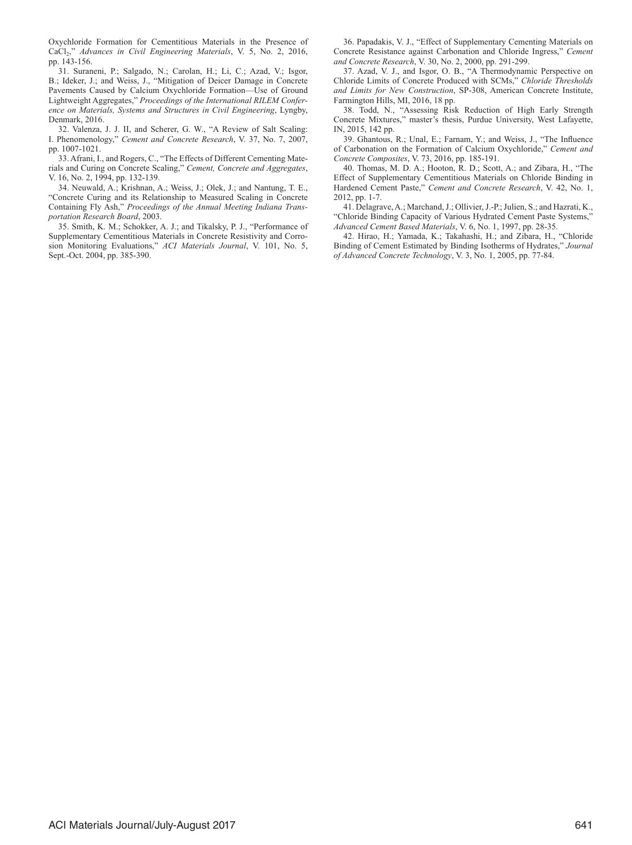Oxychloride Formation for Cementitious Materials in the Presence of CaCl2," *Advances in Civil Engineering Materials*, V. 5, No. 2, 2016, pp. 143-156.

31. Suraneni, P.; Salgado, N.; Carolan, H.; Li, C.; Azad, V.; Isgor, B.; Ideker, J.; and Weiss, J., "Mitigation of Deicer Damage in Concrete Pavements Caused by Calcium Oxychloride Formation—Use of Ground Lightweight Aggregates," *Proceedings of the International RILEM Conference on Materials, Systems and Structures in Civil Engineering*, Lyngby, Denmark, 2016.

32. Valenza, J. J. II, and Scherer, G. W., "A Review of Salt Scaling: I. Phenomenology," *Cement and Concrete Research*, V. 37, No. 7, 2007, pp. 1007-1021.

33. Afrani, I., and Rogers, C., "The Effects of Different Cementing Materials and Curing on Concrete Scaling," *Cement, Concrete and Aggregates*, V. 16, No. 2, 1994, pp. 132-139.

34. Neuwald, A.; Krishnan, A.; Weiss, J.; Olek, J.; and Nantung, T. E., "Concrete Curing and its Relationship to Measured Scaling in Concrete Containing Fly Ash," *Proceedings of the Annual Meeting Indiana Transportation Research Board*, 2003.

35. Smith, K. M.; Schokker, A. J.; and Tikalsky, P. J., "Performance of Supplementary Cementitious Materials in Concrete Resistivity and Corrosion Monitoring Evaluations," *ACI Materials Journal*, V. 101, No. 5, Sept.-Oct. 2004, pp. 385-390.

36. Papadakis, V. J., "Effect of Supplementary Cementing Materials on Concrete Resistance against Carbonation and Chloride Ingress," *Cement and Concrete Research*, V. 30, No. 2, 2000, pp. 291-299.

37. Azad, V. J., and Isgor, O. B., "A Thermodynamic Perspective on Chloride Limits of Concrete Produced with SCMs," *Chloride Thresholds and Limits for New Construction*, SP-308, American Concrete Institute, Farmington Hills, MI, 2016, 18 pp.

38. Todd, N., "Assessing Risk Reduction of High Early Strength Concrete Mixtures," master's thesis, Purdue University, West Lafayette, IN, 2015, 142 pp.

39. Ghantous, R.; Unal, E.; Farnam, Y.; and Weiss, J., "The Influence of Carbonation on the Formation of Calcium Oxychloride," *Cement and Concrete Composites*, V. 73, 2016, pp. 185-191.

40. Thomas, M. D. A.; Hooton, R. D.; Scott, A.; and Zibara, H., "The Effect of Supplementary Cementitious Materials on Chloride Binding in Hardened Cement Paste," *Cement and Concrete Research*, V. 42, No. 1, 2012, pp. 1-7.

41. Delagrave, A.; Marchand, J.; Ollivier, J.-P.; Julien, S.; and Hazrati, K., "Chloride Binding Capacity of Various Hydrated Cement Paste Systems," *Advanced Cement Based Materials*, V. 6, No. 1, 1997, pp. 28-35.

42. Hirao, H.; Yamada, K.; Takahashi, H.; and Zibara, H., "Chloride Binding of Cement Estimated by Binding Isotherms of Hydrates," *Journal of Advanced Concrete Technology*, V. 3, No. 1, 2005, pp. 77-84.